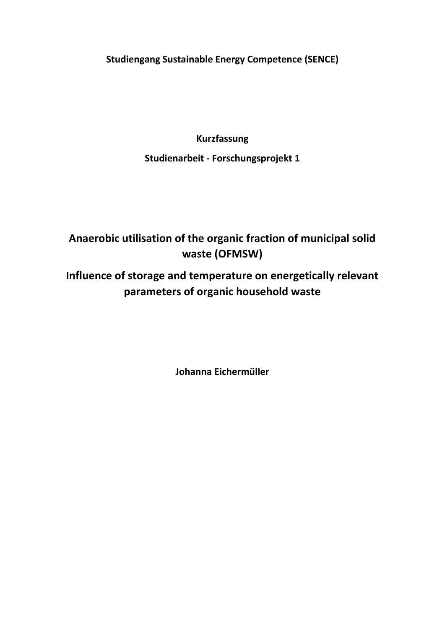**Studiengang Sustainable Energy Competence (SENCE)**

**Kurzfassung**

**Studienarbeit - Forschungsprojekt 1**

# **Anaerobic utilisation of the organic fraction of municipal solid waste (OFMSW)**

# **Influence of storage and temperature on energetically relevant parameters of organic household waste**

**Johanna Eichermüller**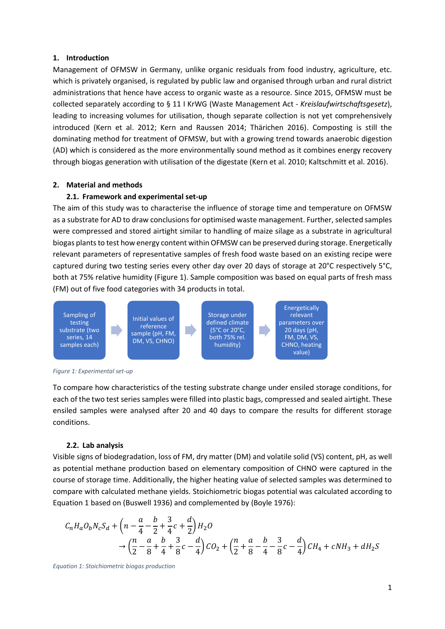#### **1. Introduction**

Management of OFMSW in Germany, unlike organic residuals from food industry, agriculture, etc. which is privately organised, is regulated by public law and organised through urban and rural district administrations that hence have access to organic waste as a resource. Since 2015, OFMSW must be collected separately according to § 11 I KrWG (Waste Management Act - *Kreislaufwirtschaftsgesetz*), leading to increasing volumes for utilisation, though separate collection is not yet comprehensively introduced (Kern et al. 2012; Kern and Raussen 2014; Thärichen 2016). Composting is still the dominating method for treatment of OFMSW, but with a growing trend towards anaerobic digestion (AD) which is considered as the more environmentally sound method as it combines energy recovery through biogas generation with utilisation of the digestate (Kern et al. 2010; Kaltschmitt et al. 2016).

#### **2. Material and methods**

#### **2.1. Framework and experimental set-up**

The aim of this study was to characterise the influence of storage time and temperature on OFMSW as a substrate for AD to draw conclusions for optimised waste management. Further, selected samples were compressed and stored airtight similar to handling of maize silage as a substrate in agricultural biogas plants to test how energy content within OFMSW can be preserved during storage. Energetically relevant parameters of representative samples of fresh food waste based on an existing recipe were captured during two testing series every other day over 20 days of storage at 20°C respectively 5°C, both at 75% relative humidity [\(Figure 1\)](#page-1-0). Sample composition was based on equal parts of fresh mass (FM) out of five food categories with 34 products in total.



<span id="page-1-0"></span>*Figure 1: Experimental set-up*

To compare how characteristics of the testing substrate change under ensiled storage conditions, for each of the two test series samples were filled into plastic bags, compressed and sealed airtight. These ensiled samples were analysed after 20 and 40 days to compare the results for different storage conditions.

#### **2.2. Lab analysis**

Visible signs of biodegradation, loss of FM, dry matter (DM) and volatile solid (VS) content, pH, as well as potential methane production based on elementary composition of CHNO were captured in the course of storage time. Additionally, the higher heating value of selected samples was determined to compare with calculated methane yields. Stoichiometric biogas potential was calculated according to [Equation 1](#page-1-1) based on (Buswell 1936) and complemented by (Boyle 1976):

$$
C_nH_aO_bN_cS_d + \left(n - \frac{a}{4} - \frac{b}{2} + \frac{3}{4}c + \frac{d}{2}\right)H_2O
$$
  
\n
$$
\rightarrow \left(\frac{n}{2} - \frac{a}{8} + \frac{b}{4} + \frac{3}{8}c - \frac{d}{4}\right)CO_2 + \left(\frac{n}{2} + \frac{a}{8} - \frac{b}{4} - \frac{3}{8}c - \frac{d}{4}\right)CH_4 + cNH_3 + dH_2S
$$

<span id="page-1-1"></span>*Equation 1: Stoichiometric biogas production*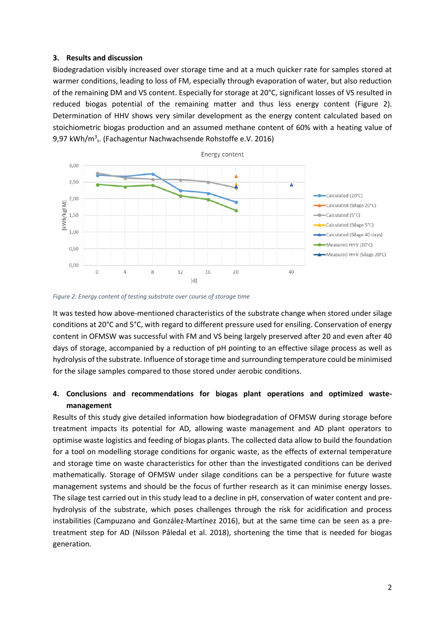#### **3. Results and discussion**

Biodegradation visibly increased over storage time and at a much quicker rate for samples stored at warmer conditions, leading to loss of FM, especially through evaporation of water, but also reduction of the remaining DM and VS content. Especially for storage at 20°C, significant losses of VS resulted in reduced biogas potential of the remaining matter and thus less energy content [\(Figure 2\)](#page-2-0). Determination of HHV shows very similar development as the energy content calculated based on stoichiometric biogas production and an assumed methane content of 60% with a heating value of 9,97 kWh/m<sup>3</sup>s. (Fachagentur Nachwachsende Rohstoffe e.V. 2016)



<span id="page-2-0"></span>

It was tested how above-mentioned characteristics of the substrate change when stored under silage conditions at 20°C and 5°C, with regard to different pressure used for ensiling. Conservation of energy content in OFMSW was successful with FM and VS being largely preserved after 20 and even after 40 days of storage, accompanied by a reduction of pH pointing to an effective silage process as well as hydrolysis of the substrate. Influence of storage time and surrounding temperature could be minimised for the silage samples compared to those stored under aerobic conditions.

### **4. Conclusions and recommendations for biogas plant operations and optimized wastemanagement**

Results of this study give detailed information how biodegradation of OFMSW during storage before treatment impacts its potential for AD, allowing waste management and AD plant operators to optimise waste logistics and feeding of biogas plants. The collected data allow to build the foundation for a tool on modelling storage conditions for organic waste, as the effects of external temperature and storage time on waste characteristics for other than the investigated conditions can be derived mathematically. Storage of OFMSW under silage conditions can be a perspective for future waste management systems and should be the focus of further research as it can minimise energy losses. The silage test carried out in this study lead to a decline in pH, conservation of water content and prehydrolysis of the substrate, which poses challenges through the risk for acidification and process instabilities (Campuzano and González-Martínez 2016), but at the same time can be seen as a pretreatment step for AD (Nilsson Påledal et al. 2018), shortening the time that is needed for biogas generation.